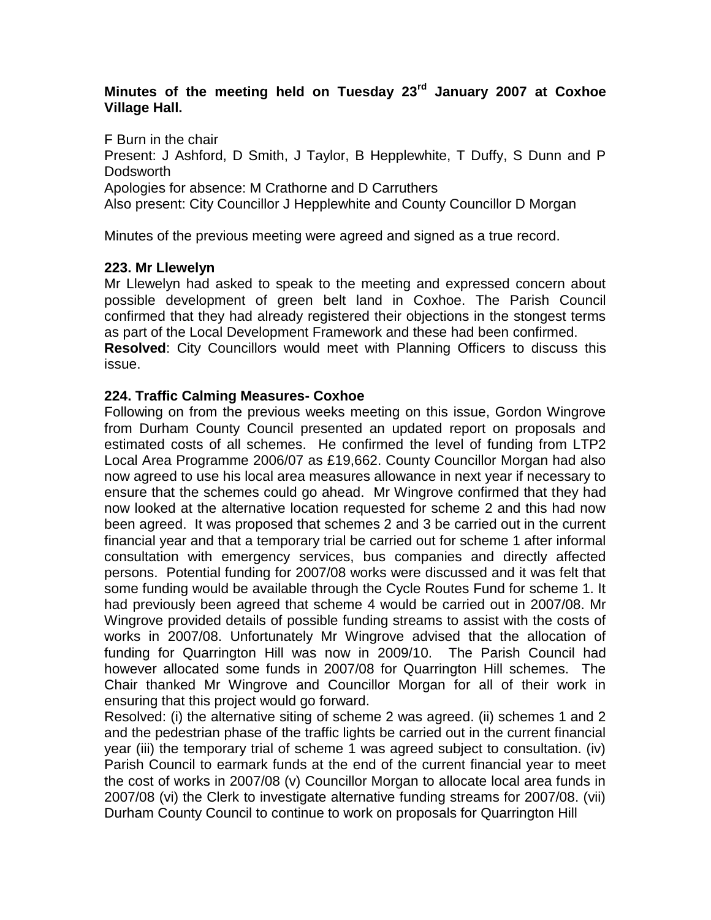# **Minutes of the meeting held on Tuesday 23rd January 2007 at Coxhoe Village Hall.**

F Burn in the chair Present: J Ashford, D Smith, J Taylor, B Hepplewhite, T Duffy, S Dunn and P Dodsworth Apologies for absence: M Crathorne and D Carruthers Also present: City Councillor J Hepplewhite and County Councillor D Morgan

Minutes of the previous meeting were agreed and signed as a true record.

# **223. Mr Llewelyn**

Mr Llewelyn had asked to speak to the meeting and expressed concern about possible development of green belt land in Coxhoe. The Parish Council confirmed that they had already registered their objections in the stongest terms as part of the Local Development Framework and these had been confirmed. **Resolved**: City Councillors would meet with Planning Officers to discuss this issue.

## **224. Traffic Calming Measures- Coxhoe**

Following on from the previous weeks meeting on this issue, Gordon Wingrove from Durham County Council presented an updated report on proposals and estimated costs of all schemes. He confirmed the level of funding from LTP2 Local Area Programme 2006/07 as £19,662. County Councillor Morgan had also now agreed to use his local area measures allowance in next year if necessary to ensure that the schemes could go ahead. Mr Wingrove confirmed that they had now looked at the alternative location requested for scheme 2 and this had now been agreed. It was proposed that schemes 2 and 3 be carried out in the current financial year and that a temporary trial be carried out for scheme 1 after informal consultation with emergency services, bus companies and directly affected persons. Potential funding for 2007/08 works were discussed and it was felt that some funding would be available through the Cycle Routes Fund for scheme 1. It had previously been agreed that scheme 4 would be carried out in 2007/08. Mr Wingrove provided details of possible funding streams to assist with the costs of works in 2007/08. Unfortunately Mr Wingrove advised that the allocation of funding for Quarrington Hill was now in 2009/10. The Parish Council had however allocated some funds in 2007/08 for Quarrington Hill schemes. The Chair thanked Mr Wingrove and Councillor Morgan for all of their work in ensuring that this project would go forward.

Resolved: (i) the alternative siting of scheme 2 was agreed. (ii) schemes 1 and 2 and the pedestrian phase of the traffic lights be carried out in the current financial year (iii) the temporary trial of scheme 1 was agreed subject to consultation. (iv) Parish Council to earmark funds at the end of the current financial year to meet the cost of works in 2007/08 (v) Councillor Morgan to allocate local area funds in 2007/08 (vi) the Clerk to investigate alternative funding streams for 2007/08. (vii) Durham County Council to continue to work on proposals for Quarrington Hill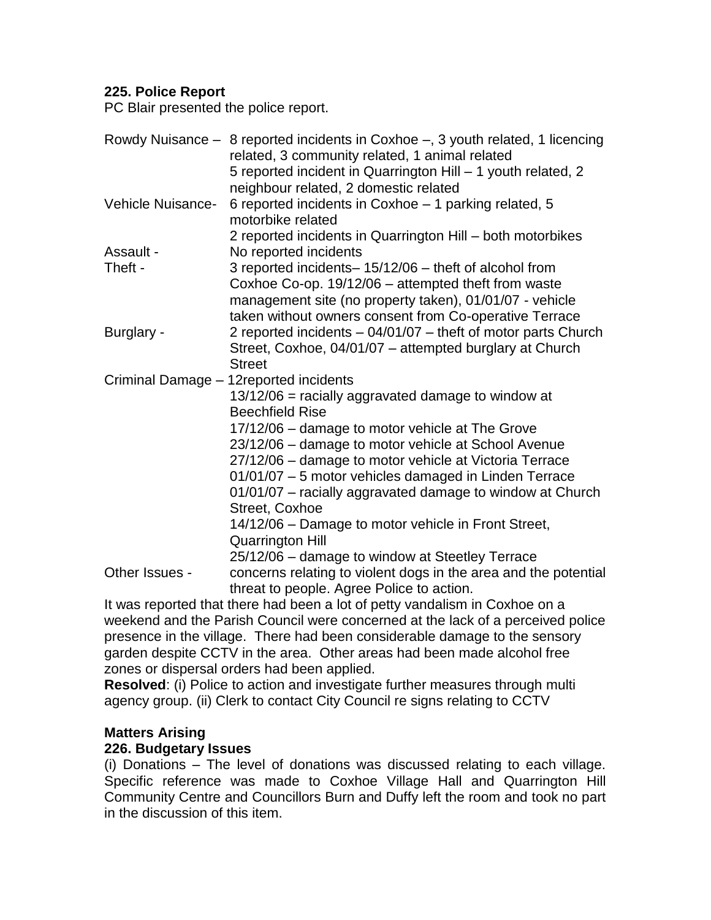## **225. Police Report**

PC Blair presented the police report.

|                                                                             | Rowdy Nuisance – 8 reported incidents in Coxhoe –, 3 youth related, 1 licencing<br>related, 3 community related, 1 animal related |  |  |
|-----------------------------------------------------------------------------|-----------------------------------------------------------------------------------------------------------------------------------|--|--|
|                                                                             | 5 reported incident in Quarrington Hill - 1 youth related, 2<br>neighbour related, 2 domestic related                             |  |  |
| Vehicle Nuisance-                                                           | 6 reported incidents in Coxhoe - 1 parking related, 5<br>motorbike related                                                        |  |  |
|                                                                             | 2 reported incidents in Quarrington Hill - both motorbikes                                                                        |  |  |
| Assault -                                                                   | No reported incidents                                                                                                             |  |  |
| Theft -                                                                     | 3 reported incidents-15/12/06 - theft of alcohol from<br>Coxhoe Co-op. 19/12/06 - attempted theft from waste                      |  |  |
|                                                                             | management site (no property taken), 01/01/07 - vehicle<br>taken without owners consent from Co-operative Terrace                 |  |  |
|                                                                             | 2 reported incidents - 04/01/07 - theft of motor parts Church                                                                     |  |  |
| Burglary -                                                                  | Street, Coxhoe, 04/01/07 - attempted burglary at Church<br><b>Street</b>                                                          |  |  |
|                                                                             | Criminal Damage - 12 reported incidents                                                                                           |  |  |
|                                                                             | 13/12/06 = racially aggravated damage to window at                                                                                |  |  |
|                                                                             | <b>Beechfield Rise</b>                                                                                                            |  |  |
|                                                                             | 17/12/06 - damage to motor vehicle at The Grove                                                                                   |  |  |
|                                                                             | 23/12/06 - damage to motor vehicle at School Avenue                                                                               |  |  |
|                                                                             | 27/12/06 - damage to motor vehicle at Victoria Terrace                                                                            |  |  |
|                                                                             | 01/01/07 - 5 motor vehicles damaged in Linden Terrace                                                                             |  |  |
|                                                                             | 01/01/07 - racially aggravated damage to window at Church                                                                         |  |  |
|                                                                             | Street, Coxhoe                                                                                                                    |  |  |
|                                                                             | 14/12/06 - Damage to motor vehicle in Front Street,                                                                               |  |  |
|                                                                             | <b>Quarrington Hill</b>                                                                                                           |  |  |
|                                                                             | 25/12/06 - damage to window at Steetley Terrace                                                                                   |  |  |
| Other Issues -                                                              | concerns relating to violent dogs in the area and the potential<br>threat to people. Agree Police to action.                      |  |  |
| It was reported that there had been a lot of petty vandalism in Coxhoe on a |                                                                                                                                   |  |  |

weekend and the Parish Council were concerned at the lack of a perceived police presence in the village. There had been considerable damage to the sensory garden despite CCTV in the area. Other areas had been made alcohol free zones or dispersal orders had been applied.

**Resolved**: (i) Police to action and investigate further measures through multi agency group. (ii) Clerk to contact City Council re signs relating to CCTV

#### **Matters Arising**

#### **226. Budgetary Issues**

(i) Donations – The level of donations was discussed relating to each village. Specific reference was made to Coxhoe Village Hall and Quarrington Hill Community Centre and Councillors Burn and Duffy left the room and took no part in the discussion of this item.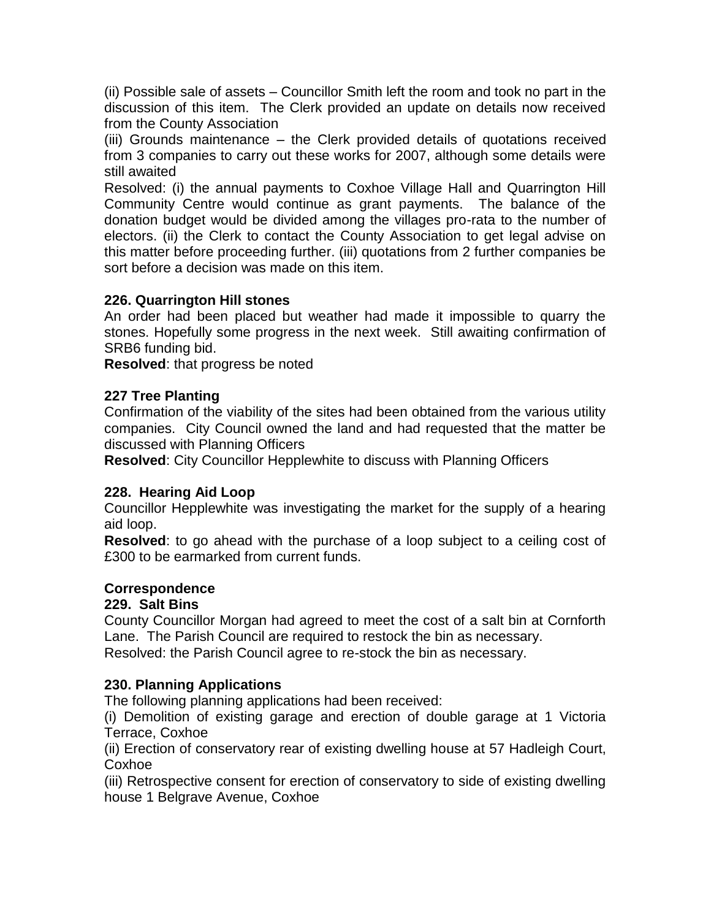(ii) Possible sale of assets – Councillor Smith left the room and took no part in the discussion of this item. The Clerk provided an update on details now received from the County Association

(iii) Grounds maintenance – the Clerk provided details of quotations received from 3 companies to carry out these works for 2007, although some details were still awaited

Resolved: (i) the annual payments to Coxhoe Village Hall and Quarrington Hill Community Centre would continue as grant payments. The balance of the donation budget would be divided among the villages pro-rata to the number of electors. (ii) the Clerk to contact the County Association to get legal advise on this matter before proceeding further. (iii) quotations from 2 further companies be sort before a decision was made on this item.

## **226. Quarrington Hill stones**

An order had been placed but weather had made it impossible to quarry the stones. Hopefully some progress in the next week. Still awaiting confirmation of SRB6 funding bid.

**Resolved**: that progress be noted

## **227 Tree Planting**

Confirmation of the viability of the sites had been obtained from the various utility companies. City Council owned the land and had requested that the matter be discussed with Planning Officers

**Resolved**: City Councillor Hepplewhite to discuss with Planning Officers

#### **228. Hearing Aid Loop**

Councillor Hepplewhite was investigating the market for the supply of a hearing aid loop.

**Resolved**: to go ahead with the purchase of a loop subject to a ceiling cost of £300 to be earmarked from current funds.

#### **Correspondence**

#### **229. Salt Bins**

County Councillor Morgan had agreed to meet the cost of a salt bin at Cornforth Lane. The Parish Council are required to restock the bin as necessary. Resolved: the Parish Council agree to re-stock the bin as necessary.

#### **230. Planning Applications**

The following planning applications had been received:

(i) Demolition of existing garage and erection of double garage at 1 Victoria Terrace, Coxhoe

(ii) Erection of conservatory rear of existing dwelling house at 57 Hadleigh Court, Coxhoe

(iii) Retrospective consent for erection of conservatory to side of existing dwelling house 1 Belgrave Avenue, Coxhoe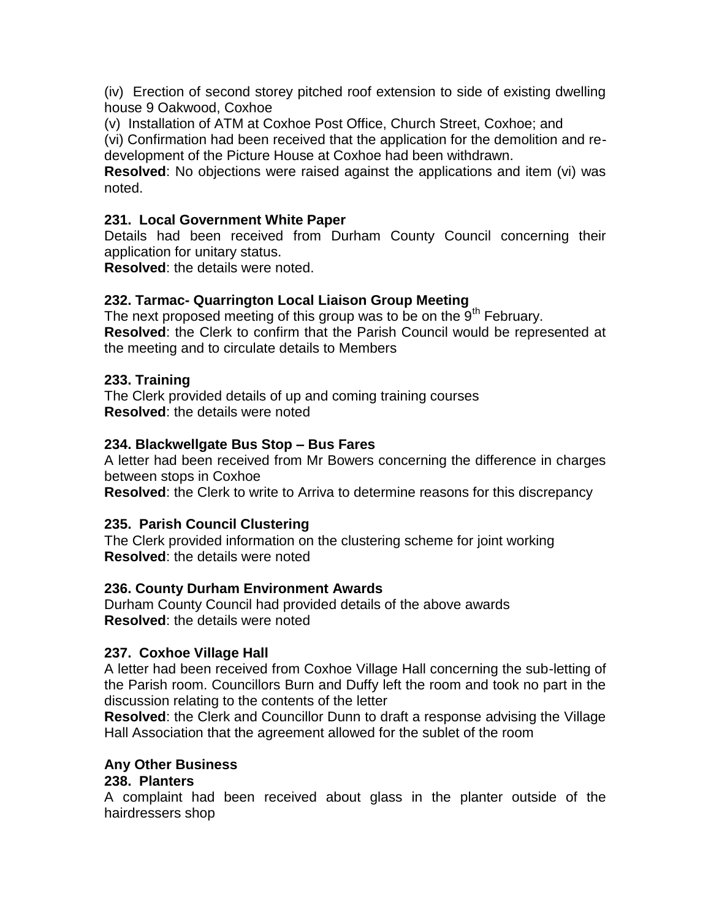(iv) Erection of second storey pitched roof extension to side of existing dwelling house 9 Oakwood, Coxhoe

(v) Installation of ATM at Coxhoe Post Office, Church Street, Coxhoe; and

(vi) Confirmation had been received that the application for the demolition and redevelopment of the Picture House at Coxhoe had been withdrawn.

**Resolved**: No objections were raised against the applications and item (vi) was noted.

## **231. Local Government White Paper**

Details had been received from Durham County Council concerning their application for unitary status.

**Resolved**: the details were noted.

## **232. Tarmac- Quarrington Local Liaison Group Meeting**

The next proposed meeting of this group was to be on the  $9<sup>th</sup>$  February. **Resolved**: the Clerk to confirm that the Parish Council would be represented at the meeting and to circulate details to Members

#### **233. Training**

The Clerk provided details of up and coming training courses **Resolved**: the details were noted

#### **234. Blackwellgate Bus Stop – Bus Fares**

A letter had been received from Mr Bowers concerning the difference in charges between stops in Coxhoe

**Resolved**: the Clerk to write to Arriva to determine reasons for this discrepancy

#### **235. Parish Council Clustering**

The Clerk provided information on the clustering scheme for joint working **Resolved**: the details were noted

#### **236. County Durham Environment Awards**

Durham County Council had provided details of the above awards **Resolved**: the details were noted

#### **237. Coxhoe Village Hall**

A letter had been received from Coxhoe Village Hall concerning the sub-letting of the Parish room. Councillors Burn and Duffy left the room and took no part in the discussion relating to the contents of the letter

**Resolved**: the Clerk and Councillor Dunn to draft a response advising the Village Hall Association that the agreement allowed for the sublet of the room

#### **Any Other Business**

#### **238. Planters**

A complaint had been received about glass in the planter outside of the hairdressers shop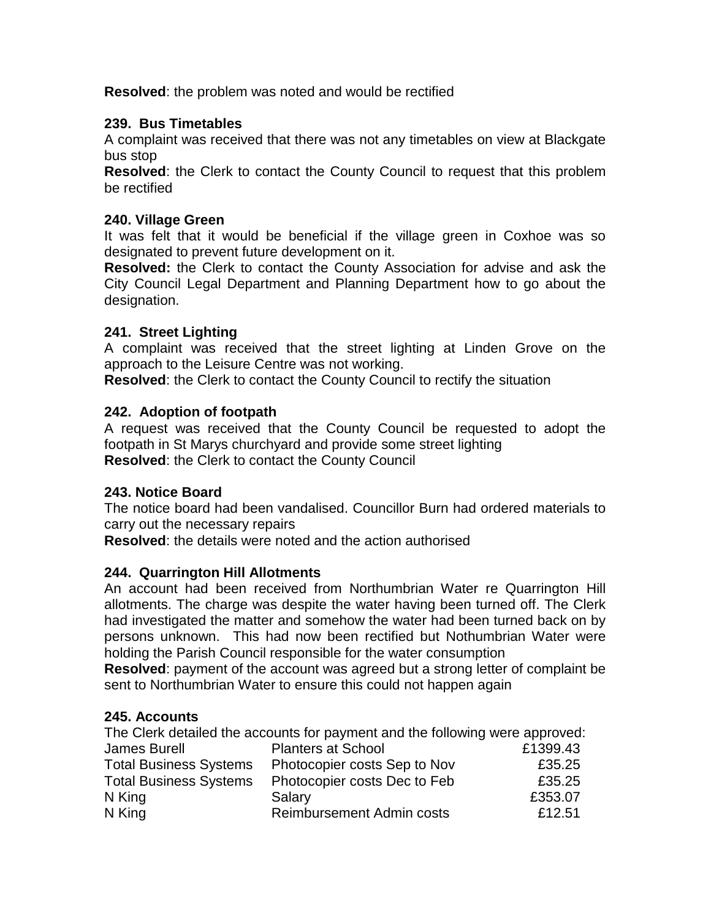**Resolved**: the problem was noted and would be rectified

## **239. Bus Timetables**

A complaint was received that there was not any timetables on view at Blackgate bus stop

**Resolved**: the Clerk to contact the County Council to request that this problem be rectified

### **240. Village Green**

It was felt that it would be beneficial if the village green in Coxhoe was so designated to prevent future development on it.

**Resolved:** the Clerk to contact the County Association for advise and ask the City Council Legal Department and Planning Department how to go about the designation.

## **241. Street Lighting**

A complaint was received that the street lighting at Linden Grove on the approach to the Leisure Centre was not working.

**Resolved**: the Clerk to contact the County Council to rectify the situation

## **242. Adoption of footpath**

A request was received that the County Council be requested to adopt the footpath in St Marys churchyard and provide some street lighting **Resolved**: the Clerk to contact the County Council

# **243. Notice Board**

The notice board had been vandalised. Councillor Burn had ordered materials to carry out the necessary repairs

**Resolved**: the details were noted and the action authorised

# **244. Quarrington Hill Allotments**

An account had been received from Northumbrian Water re Quarrington Hill allotments. The charge was despite the water having been turned off. The Clerk had investigated the matter and somehow the water had been turned back on by persons unknown. This had now been rectified but Nothumbrian Water were holding the Parish Council responsible for the water consumption

**Resolved**: payment of the account was agreed but a strong letter of complaint be sent to Northumbrian Water to ensure this could not happen again

# **245. Accounts**

|                               | The Clerk detailed the accounts for payment and the following were approved: |          |
|-------------------------------|------------------------------------------------------------------------------|----------|
| <b>James Burell</b>           | <b>Planters at School</b>                                                    | £1399.43 |
| <b>Total Business Systems</b> | Photocopier costs Sep to Nov                                                 | £35.25   |
| <b>Total Business Systems</b> | Photocopier costs Dec to Feb                                                 | £35.25   |
| N King                        | Salary                                                                       | £353.07  |
| N King                        | <b>Reimbursement Admin costs</b>                                             | £12.51   |